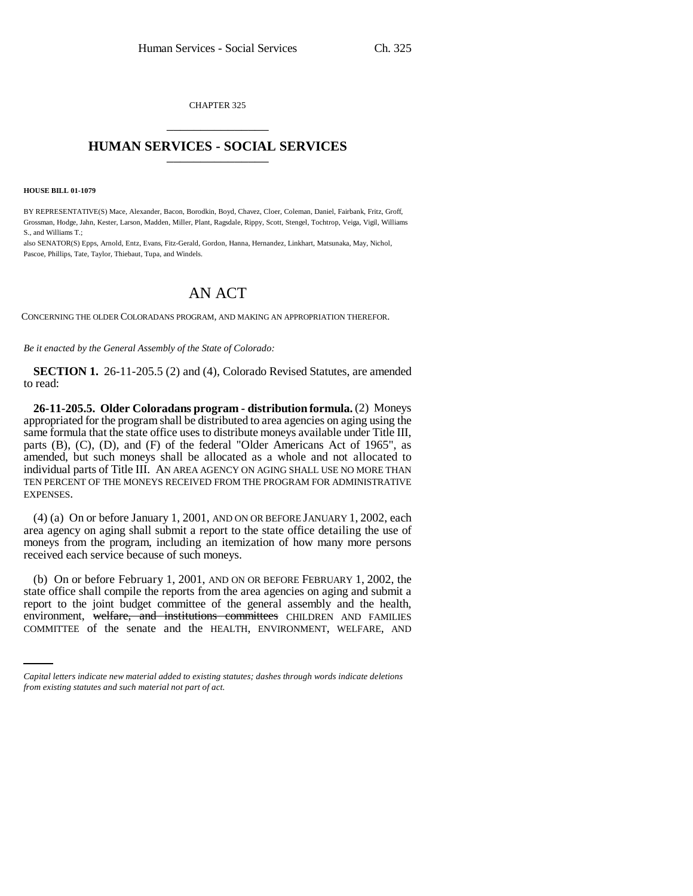CHAPTER 325 \_\_\_\_\_\_\_\_\_\_\_\_\_\_\_

## **HUMAN SERVICES - SOCIAL SERVICES** \_\_\_\_\_\_\_\_\_\_\_\_\_\_\_

## **HOUSE BILL 01-1079**

BY REPRESENTATIVE(S) Mace, Alexander, Bacon, Borodkin, Boyd, Chavez, Cloer, Coleman, Daniel, Fairbank, Fritz, Groff, Grossman, Hodge, Jahn, Kester, Larson, Madden, Miller, Plant, Ragsdale, Rippy, Scott, Stengel, Tochtrop, Veiga, Vigil, Williams S., and Williams T.;

also SENATOR(S) Epps, Arnold, Entz, Evans, Fitz-Gerald, Gordon, Hanna, Hernandez, Linkhart, Matsunaka, May, Nichol, Pascoe, Phillips, Tate, Taylor, Thiebaut, Tupa, and Windels.

## AN ACT

CONCERNING THE OLDER COLORADANS PROGRAM, AND MAKING AN APPROPRIATION THEREFOR.

*Be it enacted by the General Assembly of the State of Colorado:*

**SECTION 1.** 26-11-205.5 (2) and (4), Colorado Revised Statutes, are amended to read:

**26-11-205.5. Older Coloradans program - distribution formula.** (2) Moneys appropriated for the program shall be distributed to area agencies on aging using the same formula that the state office uses to distribute moneys available under Title III, parts (B), (C), (D), and (F) of the federal "Older Americans Act of 1965", as amended, but such moneys shall be allocated as a whole and not allocated to individual parts of Title III. AN AREA AGENCY ON AGING SHALL USE NO MORE THAN TEN PERCENT OF THE MONEYS RECEIVED FROM THE PROGRAM FOR ADMINISTRATIVE EXPENSES.

(4) (a) On or before January 1, 2001, AND ON OR BEFORE JANUARY 1, 2002, each area agency on aging shall submit a report to the state office detailing the use of moneys from the program, including an itemization of how many more persons received each service because of such moneys.

report to the joint budget committee of the general assembly and the health, (b) On or before February 1, 2001, AND ON OR BEFORE FEBRUARY 1, 2002, the state office shall compile the reports from the area agencies on aging and submit a environment, welfare, and institutions committees CHILDREN AND FAMILIES COMMITTEE of the senate and the HEALTH, ENVIRONMENT, WELFARE, AND

*Capital letters indicate new material added to existing statutes; dashes through words indicate deletions from existing statutes and such material not part of act.*